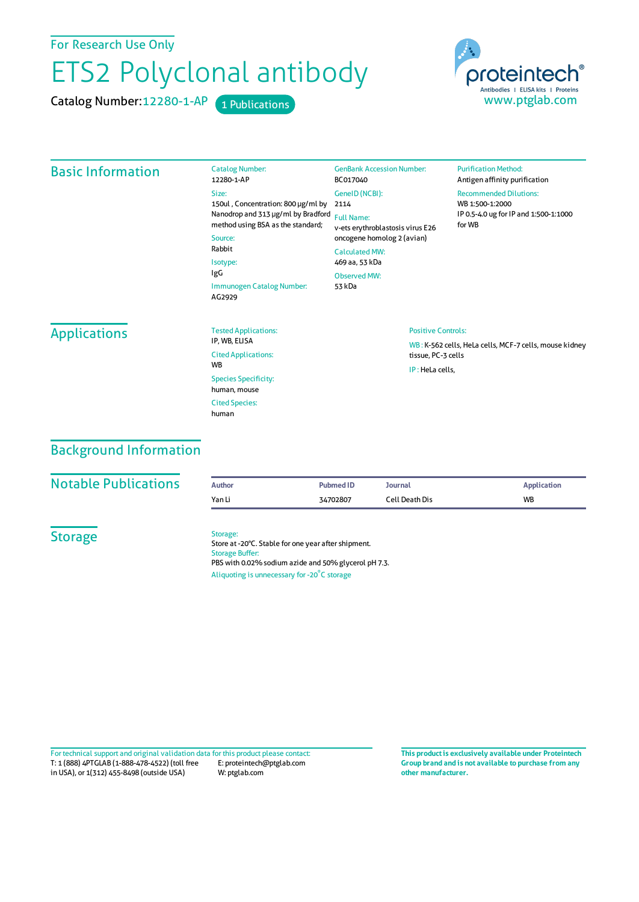For Research Use Only

## ETS2 Polyclonal antibody

Catalog Number: 12280-1-AP 1 Publications



| <b>Basic Information</b> | <b>Catalog Number:</b><br>12280-1-AP                                                                                   | <b>GenBank Accession Number:</b><br>BC017040                                                           | <b>Purification Method:</b><br>Antigen affinity purification                                        |  |
|--------------------------|------------------------------------------------------------------------------------------------------------------------|--------------------------------------------------------------------------------------------------------|-----------------------------------------------------------------------------------------------------|--|
|                          | Size:<br>150ul, Concentration: 800 µg/ml by<br>Nanodrop and 313 µg/ml by Bradford<br>method using BSA as the standard; | GenelD (NCBI):<br>2114<br><b>Full Name:</b><br>v-ets erythroblastosis virus E26                        | <b>Recommended Dilutions:</b><br>WB 1:500-1:2000<br>IP 0.5-4.0 ug for IP and 1:500-1:1000<br>for WB |  |
|                          | Source:<br>Rabbit<br>Isotype:<br>IgG<br>Immunogen Catalog Number:<br>AG2929                                            | oncogene homolog 2 (avian)<br><b>Calculated MW:</b><br>469 aa, 53 kDa<br><b>Observed MW:</b><br>53 kDa |                                                                                                     |  |
| <b>Applications</b>      | <b>Tested Applications:</b><br>IP, WB, ELISA<br><b>Cited Applications:</b>                                             | <b>Positive Controls:</b><br>tissue, PC-3 cells                                                        | WB: K-562 cells, HeLa cells, MCF-7 cells, mouse kidney                                              |  |
|                          | <b>WB</b><br><b>Species Specificity:</b><br>human, mouse                                                               | IP: HeLa cells,                                                                                        |                                                                                                     |  |
|                          | <b>Cited Species:</b><br>human                                                                                         |                                                                                                        |                                                                                                     |  |

## Background Information

| <b>Notable Publications</b> | <b>Author</b>                      | <b>Pubmed ID</b>                                                                                                                                                        | <b>Journal</b> | <b>Application</b> |
|-----------------------------|------------------------------------|-------------------------------------------------------------------------------------------------------------------------------------------------------------------------|----------------|--------------------|
|                             | Yan Li                             | 34702807                                                                                                                                                                | Cell Death Dis | <b>WB</b>          |
| <b>Storage</b>              | Storage:<br><b>Storage Buffer:</b> | Store at -20°C. Stable for one year after shipment.<br>PBS with 0.02% sodium azide and 50% glycerol pH 7.3.<br>Aliquoting is unnecessary for -20 <sup>°</sup> C storage |                |                    |

T: 1 (888) 4PTGLAB (1-888-478-4522) (toll free in USA), or 1(312) 455-8498 (outside USA) E: proteintech@ptglab.com W: ptglab.com Fortechnical support and original validation data forthis product please contact: **This productis exclusively available under Proteintech**

**Group brand and is not available to purchase from any other manufacturer.**